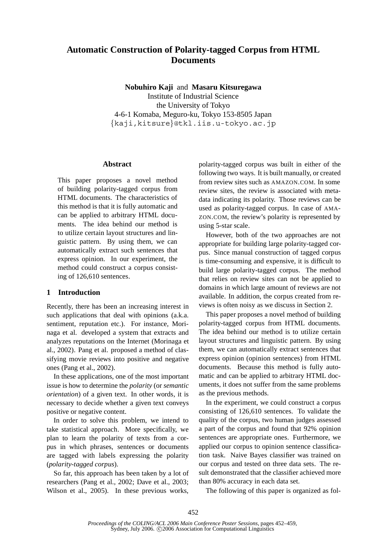# **Automatic Construction of Polarity-tagged Corpus from HTML Documents**

**Nobuhiro Kaji** and **Masaru Kitsuregawa**

Institute of Industrial Science the University of Tokyo 4-6-1 Komaba, Meguro-ku, Tokyo 153-8505 Japan kaji,kitsure-@tkl.iis.u-tokyo.ac.jp

# **Abstract**

This paper proposes a novel method of building polarity-tagged corpus from HTML documents. The characteristics of this method is that it is fully automatic and can be applied to arbitrary HTML documents. The idea behind our method is to utilize certain layout structures and linguistic pattern. By using them, we can automatically extract such sentences that express opinion. In our experiment, the method could construct a corpus consisting of 126,610 sentences.

# **1 Introduction**

Recently, there has been an increasing interest in such applications that deal with opinions (a.k.a. sentiment, reputation etc.). For instance, Morinaga et al. developed a system that extracts and analyzes reputations on the Internet (Morinaga et al., 2002). Pang et al. proposed a method of classifying movie reviews into positive and negative ones (Pang et al., 2002).

In these applications, one of the most important issue is how to determine the *polarity* (or *semantic orientation*) of a given text. In other words, it is necessary to decide whether a given text conveys positive or negative content.

In order to solve this problem, we intend to take statistical approach. More specifically, we plan to learn the polarity of texts from a corpus in which phrases, sentences or documents are tagged with labels expressing the polarity (*polarity-tagged corpus*).

So far, this approach has been taken by a lot of researchers (Pang et al., 2002; Dave et al., 2003; Wilson et al., 2005). In these previous works, polarity-tagged corpus was built in either of the following two ways. It is built manually, or created from review sites such as AMAZON.COM. In some review sites, the review is associated with metadata indicating its polarity. Those reviews can be used as polarity-tagged corpus. In case of AMA-ZON.COM, the review's polarity is represented by using 5-star scale.

However, both of the two approaches are not appropriate for building large polarity-tagged corpus. Since manual construction of tagged corpus is time-consuming and expensive, it is difficult to build large polarity-tagged corpus. The method that relies on review sites can not be applied to domains in which large amount of reviews are not available. In addition, the corpus created from reviews is often noisy as we discuss in Section 2.

This paper proposes a novel method of building polarity-tagged corpus from HTML documents. The idea behind our method is to utilize certain layout structures and linguistic pattern. By using them, we can automatically extract sentences that express opinion (opinion sentences) from HTML documents. Because this method is fully automatic and can be applied to arbitrary HTML documents, it does not suffer from the same problems as the previous methods.

In the experiment, we could construct a corpus consisting of 126,610 sentences. To validate the quality of the corpus, two human judges assessed a part of the corpus and found that 92% opinion sentences are appropriate ones. Furthermore, we applied our corpus to opinion sentence classification task. Naive Bayes classifier was trained on our corpus and tested on three data sets. The result demonstrated that the classifier achieved more than 80% accuracy in each data set.

The following of this paper is organized as fol-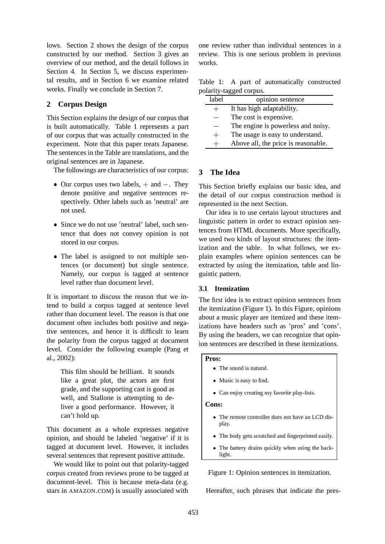lows. Section 2 shows the design of the corpus constructed by our method. Section 3 gives an overview of our method, and the detail follows in Section 4. In Section 5, we discuss experimental results, and in Section 6 we examine related works. Finally we conclude in Section 7.

# **2 Corpus Design**

This Section explains the design of our corpus that is built automatically. Table 1 represents a part of our corpus that was actually constructed in the experiment. Note that this paper treats Japanese. The sentences in the Table are translations, and the original sentences are in Japanese.

The followings are characteristics of our corpus:

- Our corpus uses two labels,  $+$  and  $-$ . They denote positive and negative sentences respectively. Other labels such as 'neutral' are not used.
- Since we do not use 'neutral' label, such sentence that does not convey opinion is not stored in our corpus.
- The label is assigned to not multiple sentences (or document) but single sentence. Namely, our corpus is tagged at sentence level rather than document level.

It is important to discuss the reason that we intend to build a corpus tagged at sentence level rather than document level. The reason is that one document often includes both positive and negative sentences, and hence it is difficult to learn the polarity from the corpus tagged at document level. Consider the following example (Pang et al., 2002):

This film should be brilliant. It sounds like a great plot, the actors are first grade, and the supporting cast is good as well, and Stallone is attempting to deliver a good performance. However, it can't hold up.

This document as a whole expresses negative opinion, and should be labeled 'negative' if it is tagged at document level. However, it includes several sentences that represent positive attitude.

We would like to point out that polarity-tagged corpus created from reviews prone to be tagged at document-level. This is because meta-data (e.g. stars in AMAZON.COM) is usually associated with

one review rather than individual sentences in a review. This is one serious problem in previous works.

|                         |  |  | Table 1: A part of automatically constructed |  |
|-------------------------|--|--|----------------------------------------------|--|
| polarity-tagged corpus. |  |  |                                              |  |

| label | opinion sentence                    |
|-------|-------------------------------------|
|       | It has high adaptability.           |
|       | The cost is expensive.              |
|       | The engine is powerless and noisy.  |
| $+$   | The usage is easy to understand.    |
|       | Above all, the price is reasonable. |

# **3 The Idea**

This Section briefly explains our basic idea, and the detail of our corpus construction method is represented in the next Section.

Our idea is to use certain layout structures and linguistic pattern in order to extract opinion sentences from HTML documents. More specifically, we used two kinds of layout structures: the itemization and the table. In what follows, we explain examples where opinion sentences can be extracted by using the itemization, table and linguistic pattern.

#### **3.1 Itemization**

The first idea is to extract opinion sentences from the itemization (Figure 1). In this Figure, opinions about a music player are itemized and these itemizations have headers such as 'pros' and 'cons'. By using the headers, we can recognize that opinion sentences are described in these itemizations.

# **Pros:**

- The sound is natural.
- Music is easy to find.
- Can enjoy creating my favorite play-lists.

#### **Cons:**

- The remote controller does not have an LCD display.
- The body gets scratched and fingerprinted easily.
- $\bullet$  The battery drains quickly when using the backlight.

Figure 1: Opinion sentences in itemization.

Hereafter, such phrases that indicate the pres-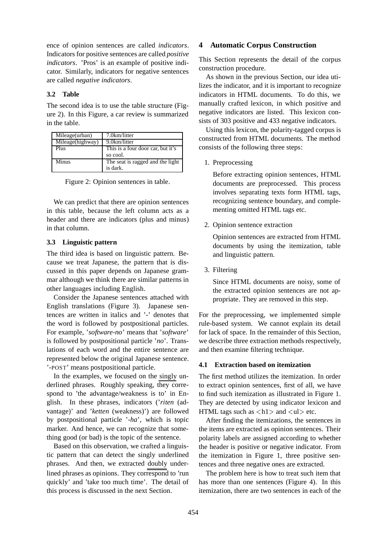ence of opinion sentences are called *indicators*. Indicators for positive sentences are called *positive indicators*. 'Pros' is an example of positive indicator. Similarly, indicators for negative sentences are called *negative indicators*.

# **3.2 Table**

The second idea is to use the table structure (Figure 2). In this Figure, a car review is summarized in the table.

| Mileage(urban)   | 7.0km/litter                      |
|------------------|-----------------------------------|
| Mileage(highway) | 9.0km/litter                      |
| Plus             | This is a four door car, but it's |
|                  | so cool.                          |
| Minus            | The seat is ragged and the light  |
|                  | is dark.                          |

Figure 2: Opinion sentences in table.

We can predict that there are opinion sentences in this table, because the left column acts as a header and there are indicators (plus and minus) in that column.

# **3.3 Linguistic pattern**

The third idea is based on linguistic pattern. Because we treat Japanese, the pattern that is discussed in this paper depends on Japanese grammar although we think there are similar patterns in other languages including English.

Consider the Japanese sentences attached with English translations (Figure 3). Japanese sentences are written in italics and '-' denotes that the word is followed by postpositional particles. For example, '*software-no*' means that '*software*' is followed by postpositional particle '*no*'. Translations of each word and the entire sentence are represented below the original Japanese sentence. '-POST' means postpositional particle.

In the examples, we focused on the singly underlined phrases. Roughly speaking, they correspond to 'the advantage/weakness is to' in English. In these phrases, indicators ('*riten* (advantage)' and '*ketten* (weakness)') are followed by postpositional particle '-*ha*', which is topic marker. And hence, we can recognize that something good (or bad) is the topic of the sentence.

Based on this observation, we crafted a linguistic pattern that can detect the singly underlined phrases. And then, we extracted doubly underlined phrases as opinions. They correspond to 'run quickly' and 'take too much time'. The detail of this process is discussed in the next Section.

# **4 Automatic Corpus Construction**

This Section represents the detail of the corpus construction procedure.

As shown in the previous Section, our idea utilizes the indicator, and it is important to recognize indicators in HTML documents. To do this, we manually crafted lexicon, in which positive and negative indicators are listed. This lexicon consists of 303 positive and 433 negative indicators.

Using this lexicon, the polarity-tagged corpus is constructed from HTML documents. The method consists of the following three steps:

1. Preprocessing

Before extracting opinion sentences, HTML documents are preprocessed. This process involves separating texts form HTML tags, recognizing sentence boundary, and complementing omitted HTML tags etc.

2. Opinion sentence extraction

Opinion sentences are extracted from HTML documents by using the itemization, table and linguistic pattern.

3. Filtering

Since HTML documents are noisy, some of the extracted opinion sentences are not appropriate. They are removed in this step.

For the preprocessing, we implemented simple rule-based system. We cannot explain its detail for lack of space. In the remainder of this Section, we describe three extraction methods respectively, and then examine filtering technique.

# **4.1 Extraction based on itemization**

The first method utilizes the itemization. In order to extract opinion sentences, first of all, we have to find such itemization as illustrated in Figure 1. They are detected by using indicator lexicon and HTML tags such as  $\langle h1 \rangle$  and  $\langle ul \rangle$  etc.

After finding the itemizations, the sentences in the items are extracted as opinion sentences. Their polarity labels are assigned according to whether the header is positive or negative indicator. From the itemization in Figure 1, three positive sentences and three negative ones are extracted.

The problem here is how to treat such item that has more than one sentences (Figure 4). In this itemization, there are two sentences in each of the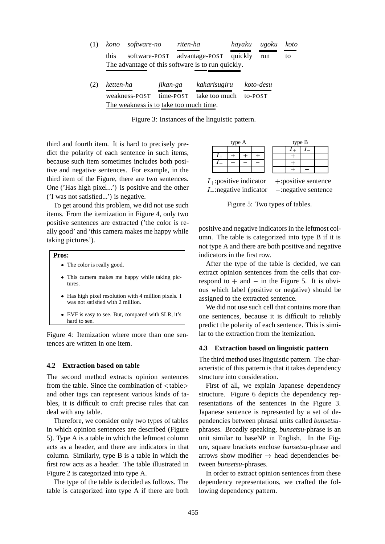| (1) | kono      | software-no   |           | riten-ha |                                                   | hayaku  |         | ugoku     | koto |
|-----|-----------|---------------|-----------|----------|---------------------------------------------------|---------|---------|-----------|------|
|     | this      | software-POST |           |          | advantage-POST                                    | quickly |         | run       | to   |
|     |           |               |           |          | The advantage of this software is to run quickly. |         |         |           |      |
| (2) | ketten-ha |               | jikan-ga  |          | kakarisugiru                                      |         |         | koto-desu |      |
|     |           | weakness-POST | time-POST |          | take too much                                     |         | to-POST |           |      |

The weakness is to take too much time.

Figure 3: Instances of the linguistic pattern.

third and fourth item. It is hard to precisely predict the polarity of each sentence in such items, because such item sometimes includes both positive and negative sentences. For example, in the third item of the Figure, there are two sentences. One ('Has high pixel...') is positive and the other ('I was not satisfied...') is negative.

To get around this problem, we did not use such items. From the itemization in Figure 4, only two positive sentences are extracted ('the color is really good' and 'this camera makes me happy while taking pictures').

#### **Pros:**

- The color is really good.
- This camera makes me happy while taking pictures.
- Has high pixel resolution with 4 million pixels. I was not satisfied with 2 million.
- EVF is easy to see. But, compared with SLR, it's hard to see.

Figure 4: Itemization where more than one sentences are written in one item.

#### **4.2 Extraction based on table**

The second method extracts opinion sentences from the table. Since the combination of  $\langle$  table $\rangle$ and other tags can represent various kinds of tables, it is difficult to craft precise rules that can deal with any table.

Therefore, we consider only two types of tables in which opinion sentences are described (Figure 5). Type A is a table in which the leftmost column acts as a header, and there are indicators in that column. Similarly, type B is a table in which the first row acts as a header. The table illustrated in Figure 2 is categorized into type A.

The type of the table is decided as follows. The table is categorized into type A if there are both

| type A                       |  |  |  |  | type B |                         |  |
|------------------------------|--|--|--|--|--------|-------------------------|--|
|                              |  |  |  |  |        |                         |  |
|                              |  |  |  |  |        |                         |  |
|                              |  |  |  |  |        |                         |  |
|                              |  |  |  |  |        |                         |  |
| $I_{+}$ : positive indicator |  |  |  |  |        | $+$ : positive sentence |  |
| $I_{-}$ : negative indicator |  |  |  |  |        | $-$ :negative sentence  |  |

Figure 5: Two types of tables.

positive and negative indicators in the leftmost column. The table is categorized into type B if it is not type A and there are both positive and negative indicators in the first row.

After the type of the table is decided, we can extract opinion sentences from the cells that correspond to  $+$  and  $-$  in the Figure 5. It is obvious which label (positive or negative) should be assigned to the extracted sentence.

We did not use such cell that contains more than one sentences, because it is difficult to reliably predict the polarity of each sentence. This is similar to the extraction from the itemization.

#### **4.3 Extraction based on linguistic pattern**

The third method uses linguistic pattern. The characteristic of this pattern is that it takes dependency structure into consideration.

 First of all, we explain Japanese dependency structure. Figure 6 depicts the dependency representations of the sentences in the Figure 3. Japanese sentence is represented by a set of dependencies between phrasal units called *bunsetsu*phrases. Broadly speaking, *bunsetsu*-phrase is an unit similar to baseNP in English. In the Figure, square brackets enclose *bunsetsu*-phrase and arrows show modifier  $\rightarrow$  head dependencies between *bunsetsu*-phrases.

In order to extract opinion sentences from these dependency representations, we crafted the following dependency pattern.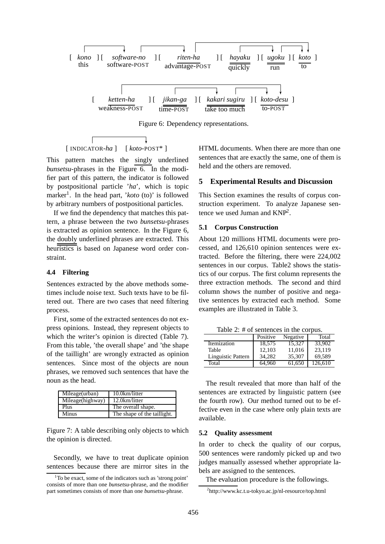

Figure 6: Dependency representations.

$$
\begin{array}{c}\n\downarrow \quad \downarrow \\
\text{[INDICATOR-}ha] \quad [\text{koto-POST*}] \n\end{array}
$$

This pattern matches the singly underlined *bunsetsu*-phrases in the Figure 6. In the modifier part of this pattern, the indicator is followed by postpositional particle '*ha*', which is topic marker<sup>1</sup>. In the head part, '*koto* (to)' is followed by arbitrary numbers of postpositional particles.

If we find the dependency that matches this pattern, a phrase between the two *bunsetsu*-phrases is extracted as opinion sentence. In the Figure 6, the doubly underlined phrases are extracted. This heuristics is based on Japanese word order constraint.

### **4.4 Filtering**

Sentences extracted by the above methods sometimes include noise text. Such texts have to be filtered out. There are two cases that need filtering process.

First, some of the extracted sentences do not express opinions. Instead, they represent objects to which the writer's opinion is directed (Table 7). From this table, 'the overall shape' and 'the shape of the taillight' are wrongly extracted as opinion sentences. Since most of the objects are noun phrases, we removed such sentences that have the noun as the head.

| Mileage(urban)   | 10.0km/litter               |
|------------------|-----------------------------|
| Mileage(highway) | 12.0km/litter               |
| Plus             | The overall shape.          |
| Minus            | The shape of the taillight. |

Figure 7: A table describing only objects to which the opinion is directed.

Secondly, we have to treat duplicate opinion sentences because there are mirror sites in the

HTML documents. When there are more than one sentences that are exactly the same, one of them is held and the others are removed.

### **5 Experimental Results and Discussion**

This Section examines the results of corpus construction experiment. To analyze Japanese sentence we used Juman and KNP2.

### **5.1 Corpus Construction**

About 120 millions HTML documents were processed, and 126,610 opinion sentences were extracted. Before the filtering, there were 224,002 sentences in our corpus. Table2 shows the statistics of our corpus. The first column represents the three extraction methods. The second and third column shows the number of positive and negative sentences by extracted each method. Some examples are illustrated in Table 3.

Table 2: # of sentences in the corpus.

|                    | Positive | Negative | Total   |
|--------------------|----------|----------|---------|
| Itemization        | 18.575   | 15.327   | 33,902  |
| Table              | 12.103   | 11,016   | 23,119  |
| Linguistic Pattern | 34.282   | 35,307   | 69,589  |
| Total              | 64.960   | 61.650   | 126.610 |

The result revealed that more than half of the sentences are extracted by linguistic pattern (see the fourth row). Our method turned out to be effective even in the case where only plain texts are available.

#### **5.2 Quality assessment**

In order to check the quality of our corpus, 500 sentences were randomly picked up and two judges manually assessed whether appropriate labels are assigned to the sentences.

The evaluation procedure is the followings.

<sup>&</sup>lt;sup>1</sup>To be exact, some of the indicators such as 'strong point' consists of more than one *bunsetsu*-phrase, and the modifier part sometimes consists of more than one *bunsetsu*-phrase.

<sup>2</sup> http://www.kc.t.u-tokyo.ac.jp/nl-resource/top.html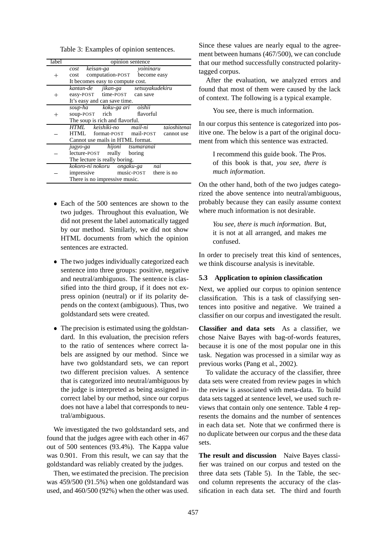Table 3: Examples of opinion sentences.

| label  | opinion sentence                         |
|--------|------------------------------------------|
|        | keisan-ga<br>cost<br>yoininaru           |
| $^+$   | computation-POST become easy<br>cost     |
|        | It becomes easy to compute cost.         |
|        | kantan-de jikan-ga setsuyakudekiru       |
|        | easy-POST time-POST can save             |
|        | It's easy and can save time.             |
|        | soup-ha koku-ga ari oishii               |
| $\, +$ | flavorful<br>soup-POST rich              |
|        | The soup is rich and flavorful.          |
|        | HTML keishiki-no mail-ni<br>taioshitenai |
|        | HTML format-POST mail-POST cannot use    |
|        | Cannot use mails in HTML format.         |
|        | jugyo-ga hijoni tsumaranai               |
|        | lecture-POST really<br>boring            |
|        | The lecture is really boring.            |
|        | kokoro-ni nokoru ongaku-ga<br>nai        |
|        | music-POST there is no<br>impressive     |
|        | There is no impressive music.            |

- Each of the 500 sentences are shown to the two judges. Throughout this evaluation, We did not present the label automatically tagged by our method. Similarly, we did not show HTML documents from which the opinion sentences are extracted.
- The two judges individually categorized each sentence into three groups: positive, negative and neutral/ambiguous. The sentence is classified into the third group, if it does not express opinion (neutral) or if its polarity depends on the context (ambiguous). Thus, two goldstandard sets were created.
- The precision is estimated using the goldstandard. In this evaluation, the precision refers to the ratio of sentences where correct labels are assigned by our method. Since we have two goldstandard sets, we can report two different precision values. A sentence that is categorized into neutral/ambiguous by the judge is interpreted as being assigned incorrect label by our method, since our corpus does not have a label that corresponds to neutral/ambiguous.

We investigated the two goldstandard sets, and found that the judges agree with each other in 467 out of 500 sentences (93.4%). The Kappa value was 0.901. From this result, we can say that the goldstandard was reliably created by the judges.

Then, we estimated the precision. The precision was 459/500 (91.5%) when one goldstandard was used, and 460/500 (92%) when the other was used.

Since these values are nearly equal to the agreement between humans (467/500), we can conclude that our method successfully constructed polaritytagged corpus.

After the evaluation, we analyzed errors and found that most of them were caused by the lack of context. The following is a typical example.

### You see, there is much information.

In our corpus this sentence is categorized into positive one. The below is a part of the original document from which this sentence was extracted.

I recommend this guide book. The Pros. of this book is that, *you see, there is much information*.

On the other hand, both of the two judges categorized the above sentence into neutral/ambiguous, probably because they can easily assume context where much information is not desirable.

*You see, there is much information*. But, it is not at all arranged, and makes me confused.

In order to precisely treat this kind of sentences, we think discourse analysis is inevitable.

### **5.3 Application to opinion classification**

Next, we applied our corpus to opinion sentence classification. This is a task of classifying sentences into positive and negative. We trained a classifier on our corpus and investigated the result.

**Classifier and data sets** As a classifier, we chose Naive Bayes with bag-of-words features, because it is one of the most popular one in this task. Negation was processed in a similar way as previous works (Pang et al., 2002).

To validate the accuracy of the classifier, three data sets were created from review pages in which the review is associated with meta-data. To build data sets tagged at sentence level, we used such reviews that contain only one sentence. Table 4 represents the domains and the number of sentences in each data set. Note that we confirmed there is no duplicate between our corpus and the these data sets.

**The result and discussion** Naive Bayes classifier was trained on our corpus and tested on the three data sets (Table 5). In the Table, the second column represents the accuracy of the classification in each data set. The third and fourth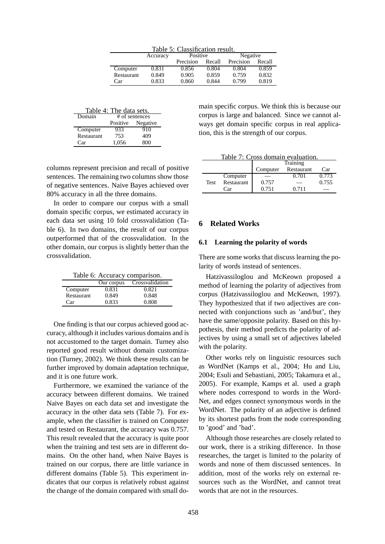| Table 5: Classification result. |                      |           |        |           |        |
|---------------------------------|----------------------|-----------|--------|-----------|--------|
|                                 | Positive<br>Accuracy |           |        | Negative  |        |
|                                 |                      | Precision | Recall | Precision | Recall |
| Computer                        | 0.831                | 0.856     | 0.804  | 0.804     | 0.859  |
| <b>Restaurant</b>               | 0.849                | 0.905     | 0.859  | 0.759     | 0.832  |
| Car                             | 0.833                | 0.860     | 0.844  | 0.799     | 0.819  |

| Table 4: The data sets. |       |                   |  |  |
|-------------------------|-------|-------------------|--|--|
| Domain                  |       | # of sentences    |  |  |
|                         |       | Positive Negative |  |  |
| Computer                | 933   | 910               |  |  |
| Restaurant              | 753   | 409               |  |  |
| Car                     | 1.056 | 800               |  |  |

columns represent precision and recall of positive sentences. The remaining two columns show those of negative sentences. Naive Bayes achieved over 80% accuracy in all the three domains.

In order to compare our corpus with a small domain specific corpus, we estimated accuracy in each data set using 10 fold crossvalidation (Table 6). In two domains, the result of our corpus outperformed that of the crossvalidation. In the other domain, our corpus is slightly better than the crossvalidation.

|  | Table 6: Accuracy comparison. |
|--|-------------------------------|
|  |                               |

|            | Our corpus | Crossvalidation |
|------------|------------|-----------------|
| Computer   | 0.831      | 0.821           |
| Restaurant | 0.849      | 0.848           |
| Car        | 0.833      | 0.808           |

One finding is that our corpus achieved good accuracy, although it includes various domains and is not accustomed to the target domain. Turney also reported good result without domain customization (Turney, 2002). We think these results can be further improved by domain adaptation technique, and it is one future work.

Furthermore, we examined the variance of the accuracy between different domains. We trained Naive Bayes on each data set and investigate the accuracy in the other data sets (Table 7). For example, when the classifier is trained on Computer and tested on Restaurant, the accuracy was 0.757. This result revealed that the accuracy is quite poor when the training and test sets are in different domains. On the other hand, when Naive Bayes is trained on our corpus, there are little variance in different domains (Table 5). This experiment indicates that our corpus is relatively robust against the change of the domain compared with small do-

main specific corpus. We think this is because our corpus is large and balanced. Since we cannot always get domain specific corpus in real application, this is the strength of our corpus.

|  |  | Table 7: Cross domain evaluation. |  |  |
|--|--|-----------------------------------|--|--|
|  |  |                                   |  |  |

|             |            | Training |            |       |  |  |
|-------------|------------|----------|------------|-------|--|--|
|             |            | Computer | Restaurant | Car   |  |  |
|             | Computer   |          | 0.701      | 0.773 |  |  |
| <b>Test</b> | Restaurant | 0.757    |            | 0.755 |  |  |
|             | Car        | 0.751    | 0.711      |       |  |  |

# **6 Related Works**

### **6.1 Learning the polarity of words**

There are some works that discuss learning the polarity of words instead of sentences.

Hatzivassiloglou and McKeown proposed a method of learning the polarity of adjectives from corpus (Hatzivassiloglou and McKeown, 1997). They hypothesized that if two adjectives are connected with conjunctions such as 'and/but', they have the same/opposite polarity. Based on this hypothesis, their method predicts the polarity of adjectives by using a small set of adjectives labeled with the polarity.

Other works rely on linguistic resources such as WordNet (Kamps et al., 2004; Hu and Liu, 2004; Esuli and Sebastiani, 2005; Takamura et al., 2005). For example, Kamps et al. used a graph where nodes correspond to words in the Word-Net, and edges connect synonymous words in the WordNet. The polarity of an adjective is defined by its shortest paths from the node corresponding to 'good' and 'bad'.

Although those researches are closely related to our work, there is a striking difference. In those researches, the target is limited to the polarity of words and none of them discussed sentences. In addition, most of the works rely on external resources such as the WordNet, and cannot treat words that are not in the resources.